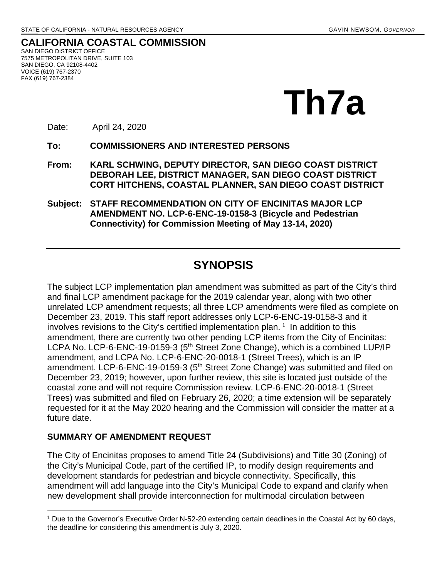**CALIFORNIA COASTAL COMMISSION** SAN DIEGO DISTRICT OFFICE 7575 METROPOLITAN DRIVE, SUITE 103 SAN DIEGO, CA 92108-4402 VOICE (619) 767-2370 FAX (619) 767-2384



Date: April 24, 2020

**To: COMMISSIONERS AND INTERESTED PERSONS** 

**From: KARL SCHWING, DEPUTY DIRECTOR, SAN DIEGO COAST DISTRICT DEBORAH LEE, DISTRICT MANAGER, SAN DIEGO COAST DISTRICT CORT HITCHENS, COASTAL PLANNER, SAN DIEGO COAST DISTRICT**

**Subject: STAFF RECOMMENDATION ON CITY OF ENCINITAS MAJOR LCP AMENDMENT NO. LCP-6-ENC-19-0158-3 (Bicycle and Pedestrian Connectivity) for Commission Meeting of May 13-14, 2020)** 

## **SYNOPSIS**

The subject LCP implementation plan amendment was submitted as part of the City's third and final LCP amendment package for the 2019 calendar year, along with two other unrelated LCP amendment requests; all three LCP amendments were filed as complete on December 23, 2019. This staff report addresses only LCP-6-ENC-19-0158-3 and it involves revisions to the City's certified implementation plan.<sup>[1](#page-0-0)</sup> In addition to this amendment, there are currently two other pending LCP items from the City of Encinitas: LCPA No. LCP-6-ENC-19-0159-3 (5<sup>th</sup> Street Zone Change), which is a combined LUP/IP amendment, and LCPA No. LCP-6-ENC-20-0018-1 (Street Trees), which is an IP amendment. LCP-6-ENC-19-0159-3 (5<sup>th</sup> Street Zone Change) was submitted and filed on December 23, 2019; however, upon further review, this site is located just outside of the coastal zone and will not require Commission review. LCP-6-ENC-20-0018-1 (Street Trees) was submitted and filed on February 26, 2020; a time extension will be separately requested for it at the May 2020 hearing and the Commission will consider the matter at a future date.

#### **SUMMARY OF AMENDMENT REQUEST**

The City of Encinitas proposes to amend Title 24 (Subdivisions) and Title 30 (Zoning) of the City's Municipal Code, part of the certified IP, to modify design requirements and development standards for pedestrian and bicycle connectivity. Specifically, this amendment will add language into the City's Municipal Code to expand and clarify when new development shall provide interconnection for multimodal circulation between

<span id="page-0-0"></span> $\overline{a}$ <sup>1</sup> Due to the Governor's Executive Order N-52-20 extending certain deadlines in the Coastal Act by 60 days, the deadline for considering this amendment is July 3, 2020.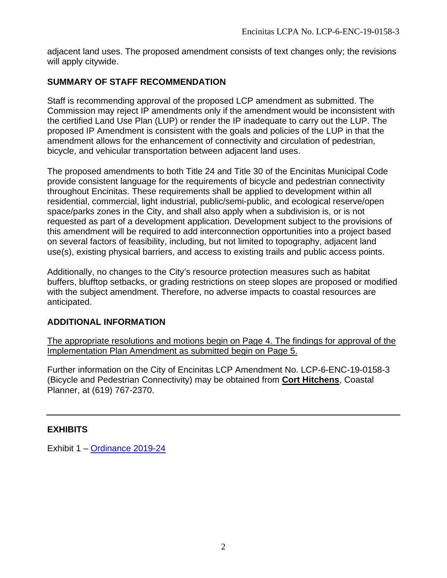adjacent land uses. The proposed amendment consists of text changes only; the revisions will apply citywide.

## **SUMMARY OF STAFF RECOMMENDATION**

Staff is recommending approval of the proposed LCP amendment as submitted. The Commission may reject IP amendments only if the amendment would be inconsistent with the certified Land Use Plan (LUP) or render the IP inadequate to carry out the LUP. The proposed IP Amendment is consistent with the goals and policies of the LUP in that the amendment allows for the enhancement of connectivity and circulation of pedestrian, bicycle, and vehicular transportation between adjacent land uses.

The proposed amendments to both Title 24 and Title 30 of the Encinitas Municipal Code provide consistent language for the requirements of bicycle and pedestrian connectivity throughout Encinitas. These requirements shall be applied to development within all residential, commercial, light industrial, public/semi-public, and ecological reserve/open space/parks zones in the City, and shall also apply when a subdivision is, or is not requested as part of a development application. Development subject to the provisions of this amendment will be required to add interconnection opportunities into a project based on several factors of feasibility, including, but not limited to topography, adjacent land use(s), existing physical barriers, and access to existing trails and public access points.

Additionally, no changes to the City's resource protection measures such as habitat buffers, blufftop setbacks, or grading restrictions on steep slopes are proposed or modified with the subject amendment. Therefore, no adverse impacts to coastal resources are anticipated.

## **ADDITIONAL INFORMATION**

The appropriate resolutions and motions begin on Page 4. The findings for approval of the Implementation Plan Amendment as submitted begin on Page 5.

Further information on the City of Encinitas LCP Amendment No. LCP-6-ENC-19-0158-3 (Bicycle and Pedestrian Connectivity) may be obtained from **Cort Hitchens**, Coastal Planner, at (619) 767-2370.

### **EXHIBITS**

Exhibit 1 – [Ordinance 2019-24](https://documents.coastal.ca.gov/reports/2020/5/Th7a/Th7a-5-2020-exhibits.pdf)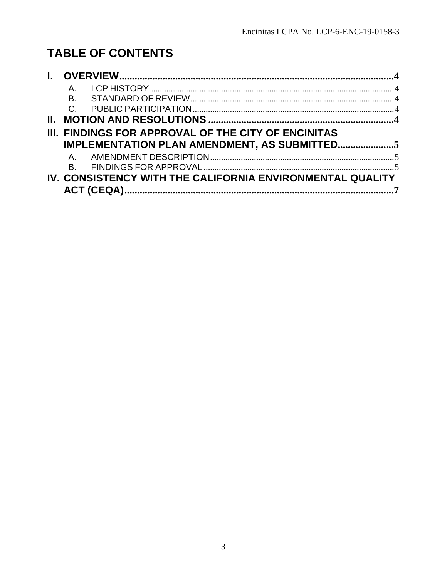# **TABLE OF CONTENTS**

|    | $\mathsf{A}_{-}$ |                                                           |  |
|----|------------------|-----------------------------------------------------------|--|
|    | Β.               |                                                           |  |
|    |                  |                                                           |  |
| Ш. |                  |                                                           |  |
|    |                  | III. FINDINGS FOR APPROVAL OF THE CITY OF ENCINITAS       |  |
|    |                  | IMPLEMENTATION PLAN AMENDMENT, AS SUBMITTED5              |  |
|    |                  |                                                           |  |
|    |                  |                                                           |  |
|    |                  | IV. CONSISTENCY WITH THE CALIFORNIA ENVIRONMENTAL QUALITY |  |
|    |                  |                                                           |  |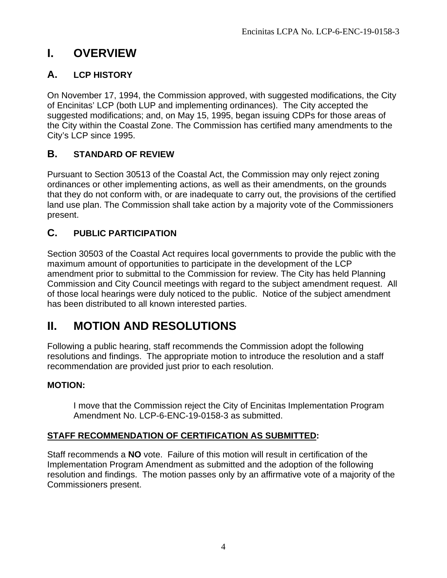# <span id="page-3-0"></span>**I. OVERVIEW**

## <span id="page-3-1"></span>**A. LCP HISTORY**

On November 17, 1994, the Commission approved, with suggested modifications, the City of Encinitas' LCP (both LUP and implementing ordinances). The City accepted the suggested modifications; and, on May 15, 1995, began issuing CDPs for those areas of the City within the Coastal Zone. The Commission has certified many amendments to the City's LCP since 1995.

## <span id="page-3-2"></span>**B. STANDARD OF REVIEW**

Pursuant to Section 30513 of the Coastal Act, the Commission may only reject zoning ordinances or other implementing actions, as well as their amendments, on the grounds that they do not conform with, or are inadequate to carry out, the provisions of the certified land use plan. The Commission shall take action by a majority vote of the Commissioners present.

## <span id="page-3-3"></span>**C. PUBLIC PARTICIPATION**

Section 30503 of the Coastal Act requires local governments to provide the public with the maximum amount of opportunities to participate in the development of the LCP amendment prior to submittal to the Commission for review. The City has held Planning Commission and City Council meetings with regard to the subject amendment request. All of those local hearings were duly noticed to the public. Notice of the subject amendment has been distributed to all known interested parties.

# <span id="page-3-4"></span>**II. MOTION AND RESOLUTIONS**

Following a public hearing, staff recommends the Commission adopt the following resolutions and findings. The appropriate motion to introduce the resolution and a staff recommendation are provided just prior to each resolution.

## **MOTION:**

I move that the Commission reject the City of Encinitas Implementation Program Amendment No. LCP-6-ENC-19-0158-3 as submitted.

## **STAFF RECOMMENDATION OF CERTIFICATION AS SUBMITTED:**

Staff recommends a **NO** vote. Failure of this motion will result in certification of the Implementation Program Amendment as submitted and the adoption of the following resolution and findings. The motion passes only by an affirmative vote of a majority of the Commissioners present.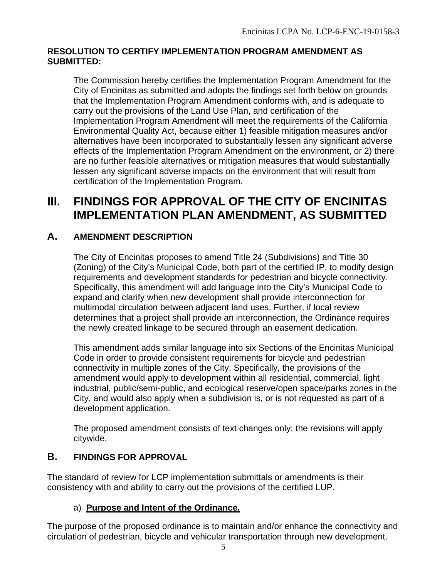#### **RESOLUTION TO CERTIFY IMPLEMENTATION PROGRAM AMENDMENT AS SUBMITTED:**

The Commission hereby certifies the Implementation Program Amendment for the City of Encinitas as submitted and adopts the findings set forth below on grounds that the Implementation Program Amendment conforms with, and is adequate to carry out the provisions of the Land Use Plan, and certification of the Implementation Program Amendment will meet the requirements of the California Environmental Quality Act, because either 1) feasible mitigation measures and/or alternatives have been incorporated to substantially lessen any significant adverse effects of the Implementation Program Amendment on the environment, or 2) there are no further feasible alternatives or mitigation measures that would substantially lessen any significant adverse impacts on the environment that will result from certification of the Implementation Program.

## <span id="page-4-0"></span>**III. FINDINGS FOR APPROVAL OF THE CITY OF ENCINITAS IMPLEMENTATION PLAN AMENDMENT, AS SUBMITTED**

## <span id="page-4-1"></span>**A. AMENDMENT DESCRIPTION**

The City of Encinitas proposes to amend Title 24 (Subdivisions) and Title 30 (Zoning) of the City's Municipal Code, both part of the certified IP, to modify design requirements and development standards for pedestrian and bicycle connectivity. Specifically, this amendment will add language into the City's Municipal Code to expand and clarify when new development shall provide interconnection for multimodal circulation between adjacent land uses. Further, if local review determines that a project shall provide an interconnection, the Ordinance requires the newly created linkage to be secured through an easement dedication.

This amendment adds similar language into six Sections of the Encinitas Municipal Code in order to provide consistent requirements for bicycle and pedestrian connectivity in multiple zones of the City. Specifically, the provisions of the amendment would apply to development within all residential, commercial, light industrial, public/semi-public, and ecological reserve/open space/parks zones in the City, and would also apply when a subdivision is, or is not requested as part of a development application.

The proposed amendment consists of text changes only; the revisions will apply citywide.

## <span id="page-4-2"></span>**B. FINDINGS FOR APPROVAL**

The standard of review for LCP implementation submittals or amendments is their consistency with and ability to carry out the provisions of the certified LUP.

### a) **Purpose and Intent of the Ordinance.**

The purpose of the proposed ordinance is to maintain and/or enhance the connectivity and circulation of pedestrian, bicycle and vehicular transportation through new development.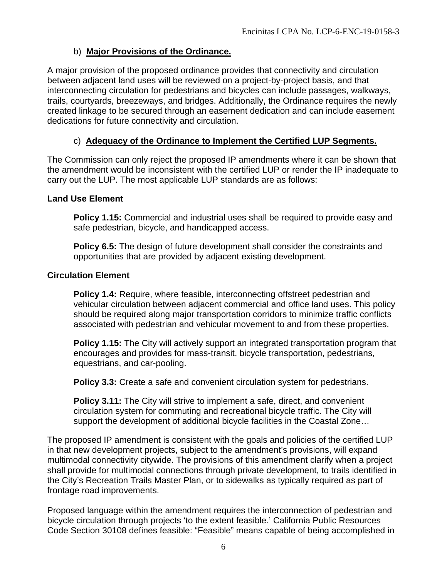### b) **Major Provisions of the Ordinance.**

A major provision of the proposed ordinance provides that connectivity and circulation between adjacent land uses will be reviewed on a project-by-project basis, and that interconnecting circulation for pedestrians and bicycles can include passages, walkways, trails, courtyards, breezeways, and bridges. Additionally, the Ordinance requires the newly created linkage to be secured through an easement dedication and can include easement dedications for future connectivity and circulation.

## c) **Adequacy of the Ordinance to Implement the Certified LUP Segments.**

The Commission can only reject the proposed IP amendments where it can be shown that the amendment would be inconsistent with the certified LUP or render the IP inadequate to carry out the LUP. The most applicable LUP standards are as follows:

#### **Land Use Element**

**Policy 1.15:** Commercial and industrial uses shall be required to provide easy and safe pedestrian, bicycle, and handicapped access.

**Policy 6.5:** The design of future development shall consider the constraints and opportunities that are provided by adjacent existing development.

#### **Circulation Element**

**Policy 1.4:** Require, where feasible, interconnecting offstreet pedestrian and vehicular circulation between adjacent commercial and office land uses. This policy should be required along major transportation corridors to minimize traffic conflicts associated with pedestrian and vehicular movement to and from these properties.

**Policy 1.15:** The City will actively support an integrated transportation program that encourages and provides for mass-transit, bicycle transportation, pedestrians, equestrians, and car-pooling.

**Policy 3.3:** Create a safe and convenient circulation system for pedestrians.

**Policy 3.11:** The City will strive to implement a safe, direct, and convenient circulation system for commuting and recreational bicycle traffic. The City will support the development of additional bicycle facilities in the Coastal Zone…

The proposed IP amendment is consistent with the goals and policies of the certified LUP in that new development projects, subject to the amendment's provisions, will expand multimodal connectivity citywide. The provisions of this amendment clarify when a project shall provide for multimodal connections through private development, to trails identified in the City's Recreation Trails Master Plan, or to sidewalks as typically required as part of frontage road improvements.

Proposed language within the amendment requires the interconnection of pedestrian and bicycle circulation through projects 'to the extent feasible.' California Public Resources Code Section 30108 defines feasible: "Feasible" means capable of being accomplished in